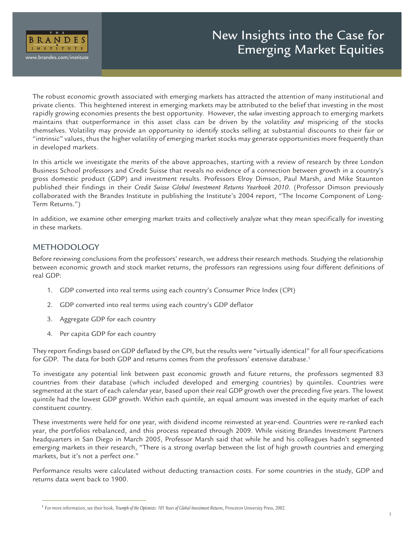

The robust economic growth associated with emerging markets has attracted the attention of many institutional and private clients. This heightened interest in emerging markets may be attributed to the belief that investing in the most rapidly growing economies presents the best opportunity. However, the *value* investing approach to emerging markets maintains that outperformance in this asset class can be driven by the volatility *and* mispricing of the stocks themselves. Volatility may provide an opportunity to identify stocks selling at substantial discounts to their fair or "intrinsic" values, thus the higher volatility of emerging market stocks may generate opportunities more frequently than in developed markets.

In this article we investigate the merits of the above approaches, starting with a review of research by three London Business School professors and Credit Suisse that reveals no evidence of a connection between growth in a country's gross domestic product (GDP) and investment results. Professors Elroy Dimson, Paul Marsh, and Mike Staunton published their findings in their *Credit Suisse Global Investment Returns Yearbook 2010*. (Professor Dimson previously collaborated with the Brandes Institute in publishing the Institute's 2004 report, "The Income Component of Long-Term Returns.")

In addition, we examine other emerging market traits and collectively analyze what they mean specifically for investing in these markets.

## **METHODOLOGY**

Before reviewing conclusions from the professors' research, we address their research methods. Studying the relationship between economic growth and stock market returns, the professors ran regressions using four different definitions of real GDP:

- 1. GDP converted into real terms using each country's Consumer Price Index (CPI)
- 2. GDP converted into real terms using each country's GDP deflator
- 3. Aggregate GDP for each country
- 4. Per capita GDP for each country

They report findings based on GDP deflated by the CPI, but the results were "virtually identical" for all four specifications for GDP. The data for both GDP and returns comes from the professors' extensive database.<sup>1</sup>

To investigate any potential link between past economic growth and future returns, the professors segmented 83 countries from their database (which included developed and emerging countries) by quintiles. Countries were segmented at the start of each calendar year, based upon their real GDP growth over the preceding five years. The lowest quintile had the lowest GDP growth. Within each quintile, an equal amount was invested in the equity market of each constituent country.

These investments were held for one year, with dividend income reinvested at year-end. Countries were re-ranked each year, the portfolios rebalanced, and this process repeated through 2009. While visiting Brandes Investment Partners headquarters in San Diego in March 2005, Professor Marsh said that while he and his colleagues hadn't segmented emerging markets in their research, "There is a strong overlap between the list of high growth countries and emerging markets, but it's not a perfect one."

Performance results were calculated without deducting transaction costs. For some countries in the study, GDP and returns data went back to 1900.

<sup>&</sup>lt;sup>1</sup> For more information, see their book, Triumph of the Optimists: 101 Years of Global Investment Returns, Princeton University Press, 2002.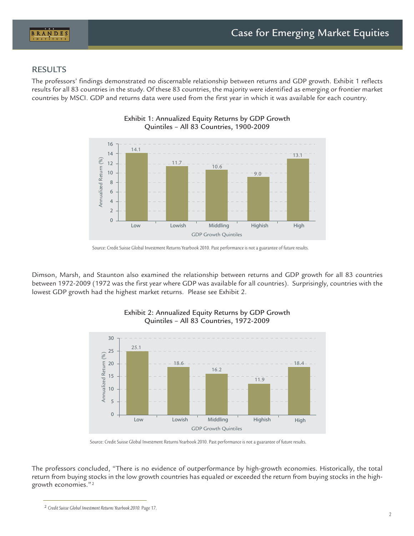

## RESULTS

The professors' findings demonstrated no discernable relationship between returns and GDP growth. Exhibit 1 reflects results for all 83 countries in the study. Of these 83 countries, the majority were identified as emerging or frontier market countries by MSCI. GDP and returns data were used from the first year in which it was available for each country.



#### Exhibit 1: Annualized Equity Returns by GDP Growth Quintiles – All 83 Countries, 1900-2009

Dimson, Marsh, and Staunton also examined the relationship between returns and GDP growth for all 83 countries between 1972-2009 (1972 was the first year where GDP was available for all countries). Surprisingly, countries with the lowest GDP growth had the highest market returns. Please see Exhibit 2.



#### Exhibit 2: Annualized Equity Returns by GDP Growth Quintiles – All 83 Countries, 1972-2009

The professors concluded, "There is no evidence of outperformance by high-growth economies. Historically, the total return from buying stocks in the low growth countries has equaled or exceeded the return from buying stocks in the highgrowth economies." <sup>2</sup>

Source: Credit Suisse Global Investment Returns Yearbook 2010. Past performance is not a guarantee of future results.

Source: Credit Suisse Global Investment Returns Yearbook 2010. Past performance is not a guarantee of future results.

<sup>2</sup> Credit Suisse Global Investment Returns Yearbook 2010. Page 17.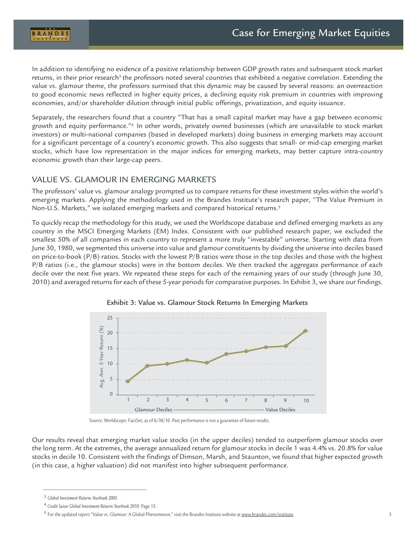

In addition to identifying no evidence of a positive relationship between GDP growth rates and subsequent stock market returns, in their prior research<sup>3</sup> the professors noted several countries that exhibited a negative correlation. Extending the value vs. glamour theme, the professors surmised that this dynamic may be caused by several reasons: an overreaction to good economic news reflected in higher equity prices, a declining equity risk premium in countries with improving economies, and/or shareholder dilution through initial public offerings, privatization, and equity issuance.

Separately, the researchers found that a country "That has a small capital market may have a gap between economic growth and equity performance."4 In other words, privately owned businesses (which are unavailable to stock market investors) or multi-national companies (based in developed markets) doing business in emerging markets may account for a significant percentage of a country's economic growth. This also suggests that small- or mid-cap emerging market stocks, which have low representation in the major indices for emerging markets, may better capture intra-country economic growth than their large-cap peers.

# VALUE VS. GLAMOUR IN EMERGING MARKETS

The professors' value vs. glamour analogy prompted us to compare returns for these investment styles within the world's emerging markets. Applying the methodology used in the Brandes Institute's research paper, "The Value Premium in Non-U.S. Markets," we isolated emerging markets and compared historical returns.<sup>5</sup>

To quickly recap the methodology for this study, we used the Worldscope database and defined emerging markets as any country in the MSCI Emerging Markets (EM) Index. Consistent with our published research paper, we excluded the smallest 50% of all companies in each country to represent a more truly "investable" universe. Starting with data from June 30, 1980, we segmented this universe into value and glamour constituents by dividing the universe into deciles based on price-to-book (P/B) ratios. Stocks with the lowest P/B ratios were those in the top deciles and those with the highest P/B ratios (i.e., the glamour stocks) were in the bottom deciles. We then tracked the aggregate performance of each decile over the next five years. We repeated these steps for each of the remaining years of our study (through June 30, 2010) and averaged returns for each of these 5-year periods for comparative purposes. In Exhibit 3, we share our findings.





Source: Worldscope; FactSet, as of 6/30/10. Past performance is not a guarantee of future results.

Our results reveal that emerging market value stocks (in the upper deciles) tended to outperform glamour stocks over the long term. At the extremes, the average annualized return for glamour stocks in decile 1 was 4.4% vs. 20.8% for value stocks in decile 10. Consistent with the findings of Dimson, Marsh, and Staunton, we found that higher expected growth (in this case, a higher valuation) did not manifest into higher subsequent performance.

<sup>3</sup> Global Investment Returns Yearbook 2005.

<sup>4</sup> Credit Suisse Global Investment Returns Yearbook 2010. Page 15.

<sup>5</sup> For the updated report "Value vs. Glamour: A Global Phenomenon," visit the Brandes Institute website at www.brandes.com/institute.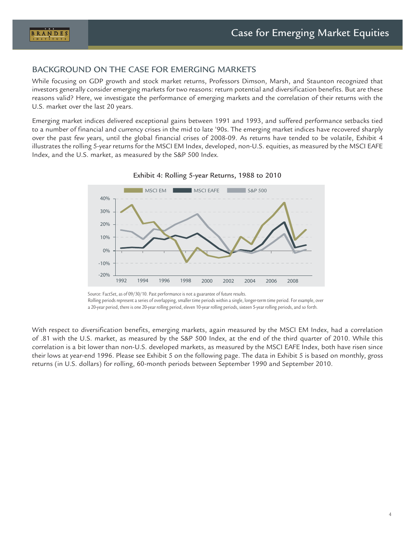

# BACKGROUND ON THE CASE FOR EMERGING MARKETS

While focusing on GDP growth and stock market returns, Professors Dimson, Marsh, and Staunton recognized that investors generally consider emerging markets for two reasons: return potential and diversification benefits. But are these reasons valid? Here, we investigate the performance of emerging markets and the correlation of their returns with the U.S. market over the last 20 years.

Emerging market indices delivered exceptional gains between 1991 and 1993, and suffered performance setbacks tied to a number of financial and currency crises in the mid to late '90s. The emerging market indices have recovered sharply over the past few years, until the global financial crises of 2008-09. As returns have tended to be volatile, Exhibit 4 illustrates the rolling 5-year returns for the MSCI EM Index, developed, non-U.S. equities, as measured by the MSCI EAFE Index, and the U.S. market, as measured by the S&P 500 Index.





Source: FactSet, as of 09/30/10. Past performance is not a guarantee of future results.

Rolling periods represent a series of overlapping, smaller time periods within a single, longer-term time period. For example, over a 20-year period, there is one 20-year rolling period, eleven 10-year rolling periods, sixteen 5-year rolling periods, and so forth.

With respect to diversification benefits, emerging markets, again measured by the MSCI EM Index, had a correlation of .81 with the U.S. market, as measured by the S&P 500 Index, at the end of the third quarter of 2010. While this correlation is a bit lower than non-U.S. developed markets, as measured by the MSCI EAFE Index, both have risen since their lows at year-end 1996. Please see Exhibit 5 on the following page. The data in Exhibit 5 is based on monthly, gross returns (in U.S. dollars) for rolling, 60-month periods between September 1990 and September 2010.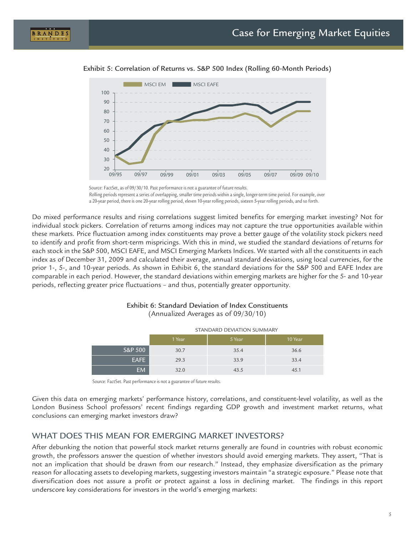



Exhibit 5: Correlation of Returns vs. S&P 500 Index (Rolling 60-Month Periods)

Source: FactSet, as of 09/30/10. Past performance is not a guarantee of future results. Rolling periods represent a series of overlapping, smaller time periods within a single, longer-term time period. For example, over a 20-year period, there is one 20-year rolling period, eleven 10-year rolling periods, sixteen 5-year rolling periods, and so forth.

Do mixed performance results and rising correlations suggest limited benefits for emerging market investing? Not for individual stock pickers. Correlation of returns among indices may not capture the true opportunities available within these markets. Price fluctuation among index constituents may prove a better gauge of the volatility stock pickers need to identify and profit from short-term mispricings. With this in mind, we studied the standard deviations of returns for each stock in the S&P 500, MSCI EAFE, and MSCI Emerging Markets Indices. We started with all the constituents in each index as of December 31, 2009 and calculated their average, annual standard deviations, using local currencies, for the prior 1-, 5-, and 10-year periods. As shown in Exhibit 6, the standard deviations for the S&P 500 and EAFE Index are comparable in each period. However, the standard deviations within emerging markets are higher for the 5- and 10-year periods, reflecting greater price fluctuations – and thus, potentially greater opportunity.

#### Exhibit 6: Standard Deviation of Index Constituents (Annualized Averages as of 09/30/10)

|         | STANDARD DEVIATION SUMMARY |        |         |
|---------|----------------------------|--------|---------|
|         | 1 Year                     | 5 Year | 10 Year |
| S&P 500 | 30.7                       | 35.4   | 36.6    |
| EAFE    | 29.3                       | 33.9   | 33.4    |
| EM.     | 32.0                       | 43.5   | 45.1    |

Source: FactSet. Past performance is not a guarantee of future results.

Given this data on emerging markets' performance history, correlations, and constituent-level volatility, as well as the London Business School professors' recent findings regarding GDP growth and investment market returns, what conclusions can emerging market investors draw?

## WHAT DOES THIS MEAN FOR EMERGING MARKET INVESTORS?

After debunking the notion that powerful stock market returns generally are found in countries with robust economic growth, the professors answer the question of whether investors should avoid emerging markets. They assert, "That is not an implication that should be drawn from our research." Instead, they emphasize diversification as the primary reason for allocating assets to developing markets, suggesting investors maintain "a strategic exposure." Please note that diversification does not assure a profit or protect against a loss in declining market. The findings in this report underscore key considerations for investors in the world's emerging markets: